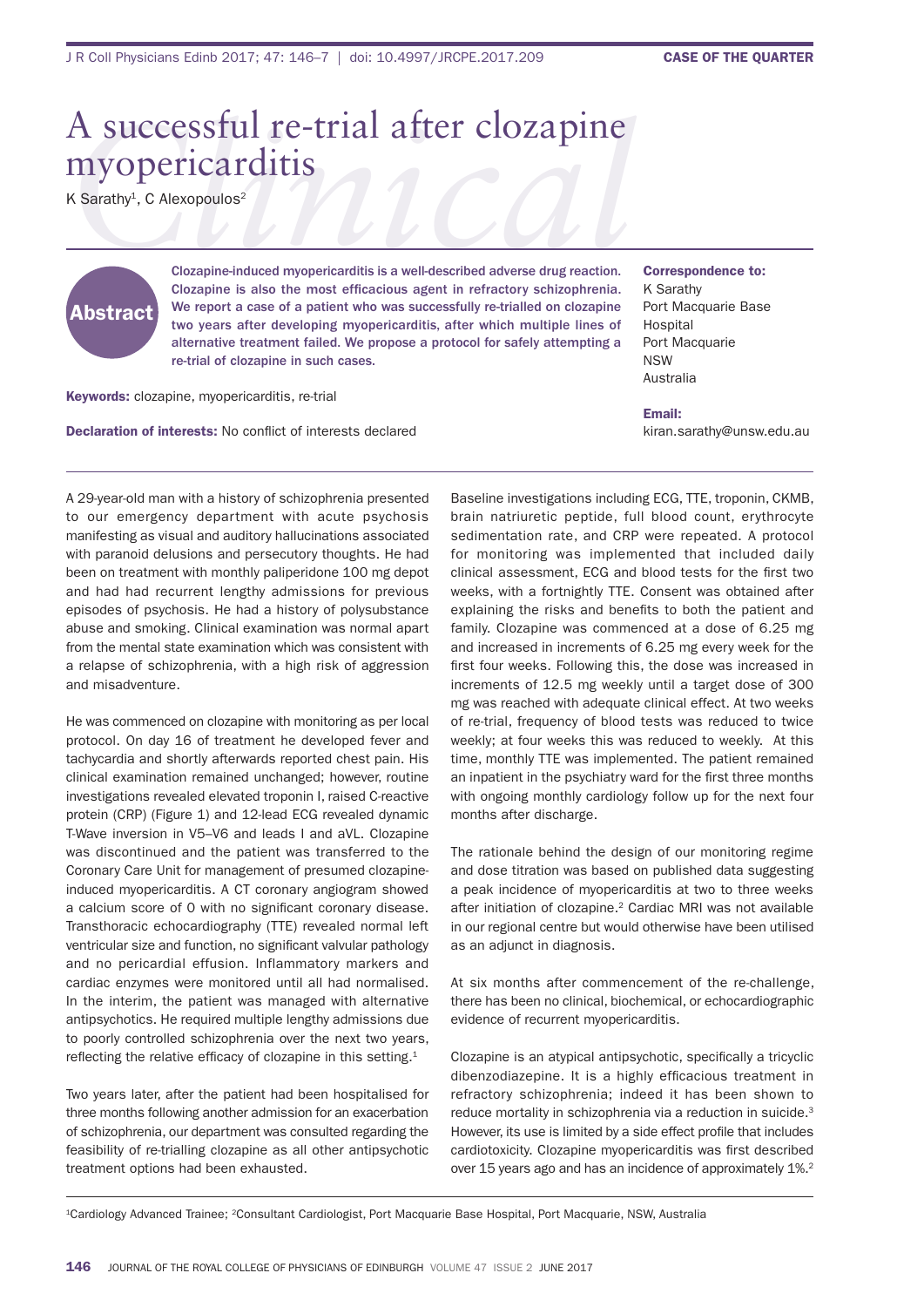## A successful re-trial after clozapine myopericarditis

K Sarathy<sup>1</sup>, C Alexopoulos<sup>2</sup>



Clozapine-induced myopericarditis is a well-described adverse drug reaction. Clozapine is also the most efficacious agent in refractory schizophrenia. We report a case of a patient who was successfully re-trialled on clozapine two years after developing myopericarditis, after which multiple lines of alternative treatment failed. We propose a protocol for safely attempting a re-trial of clozapine in such cases.

Keywords: clozapine, myopericarditis, re-trial

Declaration of interests: No conflict of interests declared

Correspondence to: K sarathy Port Macquarie Base **Hospital** Port Macquarie nsW **Australia** 

Email: kiran.sarathy@unsw.edu.au

a 29-year-old man with a history of schizophrenia presented to our emergency department with acute psychosis manifesting as visual and auditory hallucinations associated with paranoid delusions and persecutory thoughts. he had been on treatment with monthly paliperidone 100 mg depot and had had recurrent lengthy admissions for previous episodes of psychosis. he had a history of polysubstance abuse and smoking. Clinical examination was normal apart from the mental state examination which was consistent with a relapse of schizophrenia, with a high risk of aggression and misadventure.

he was commenced on clozapine with monitoring as per local protocol. on day 16 of treatment he developed fever and tachycardia and shortly afterwards reported chest pain. his clinical examination remained unchanged; however, routine investigations revealed elevated troponin I, raised C-reactive protein (CRP) (Figure 1) and 12-lead ECG revealed dynamic t-Wave inversion in v5–v6 and leads i and avl. Clozapine was discontinued and the patient was transferred to the Coronary Care Unit for management of presumed clozapineinduced myopericarditis. A CT coronary angiogram showed a calcium score of 0 with no significant coronary disease. Transthoracic echocardiography (TTE) revealed normal left ventricular size and function, no significant valvular pathology and no pericardial effusion. inflammatory markers and cardiac enzymes were monitored until all had normalised. in the interim, the patient was managed with alternative antipsychotics. he required multiple lengthy admissions due to poorly controlled schizophrenia over the next two years, reflecting the relative efficacy of clozapine in this setting. $1$ 

Two years later, after the patient had been hospitalised for three months following another admission for an exacerbation of schizophrenia, our department was consulted regarding the feasibility of re-trialling clozapine as all other antipsychotic treatment options had been exhausted.

Baseline investigations including ECG, TTE, troponin, CKMB, brain natriuretic peptide, full blood count, erythrocyte sedimentation rate, and CRP were repeated. A protocol for monitoring was implemented that included daily clinical assessment, ECG and blood tests for the first two weeks, with a fortnightly TTE. Consent was obtained after explaining the risks and benefits to both the patient and family. Clozapine was commenced at a dose of 6.25 mg and increased in increments of 6.25 mg every week for the first four weeks. Following this, the dose was increased in increments of 12.5 mg weekly until a target dose of 300 mg was reached with adequate clinical effect. at two weeks of re-trial, frequency of blood tests was reduced to twice weekly; at four weeks this was reduced to weekly. At this time, monthly TTE was implemented. The patient remained an inpatient in the psychiatry ward for the first three months with ongoing monthly cardiology follow up for the next four months after discharge.

The rationale behind the design of our monitoring regime and dose titration was based on published data suggesting a peak incidence of myopericarditis at two to three weeks after initiation of clozapine.<sup>2</sup> Cardiac MRI was not available in our regional centre but would otherwise have been utilised as an adjunct in diagnosis.

At six months after commencement of the re-challenge, there has been no clinical, biochemical, or echocardiographic evidence of recurrent myopericarditis.

Clozapine is an atypical antipsychotic, specifically a tricyclic dibenzodiazepine. It is a highly efficacious treatment in refractory schizophrenia; indeed it has been shown to reduce mortality in schizophrenia via a reduction in suicide.<sup>3</sup> However, its use is limited by a side effect profile that includes cardiotoxicity. Clozapine myopericarditis was first described over 15 years ago and has an incidence of approximately 1%.2

<sup>1</sup>Cardiology advanced trainee; 2Consultant Cardiologist, Port macquarie base hospital, Port macquarie, nsW, australia